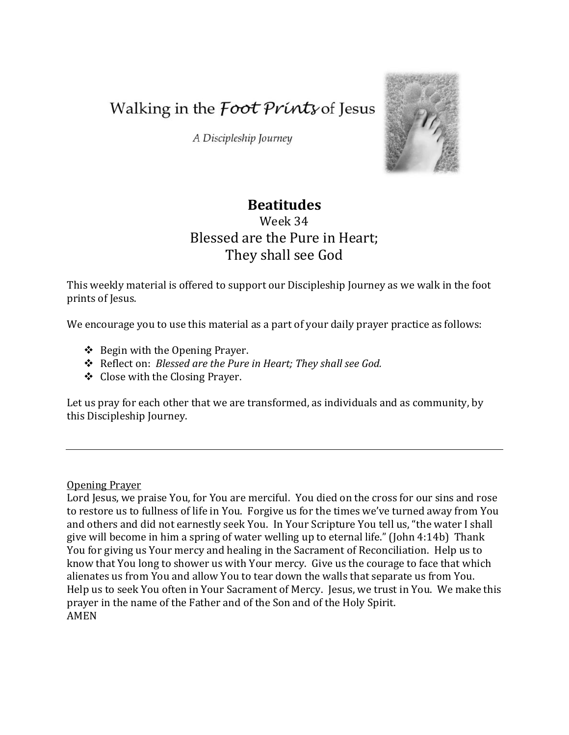Walking in the *Foot Prints* of Jesus

A Discipleship Journey



# **Beatitudes**

# Week 34 Blessed are the Pure in Heart; They shall see God

This weekly material is offered to support our Discipleship Journey as we walk in the foot prints of Jesus.

We encourage you to use this material as a part of your daily prayer practice as follows:

- $\triangle$  Begin with the Opening Prayer.
- Reflect on: *Blessed are the Pure in Heart; They shall see God.*
- Close with the Closing Prayer.

Let us pray for each other that we are transformed, as individuals and as community, by this Discipleship Journey.

Opening Prayer

Lord Jesus, we praise You, for You are merciful. You died on the cross for our sins and rose to restore us to fullness of life in You. Forgive us for the times we've turned away from You and others and did not earnestly seek You. In Your Scripture You tell us, "the water I shall give will become in him a spring of water welling up to eternal life." (John 4:14b) Thank You for giving us Your mercy and healing in the Sacrament of Reconciliation. Help us to know that You long to shower us with Your mercy. Give us the courage to face that which alienates us from You and allow You to tear down the walls that separate us from You. Help us to seek You often in Your Sacrament of Mercy. Jesus, we trust in You. We make this prayer in the name of the Father and of the Son and of the Holy Spirit. AMEN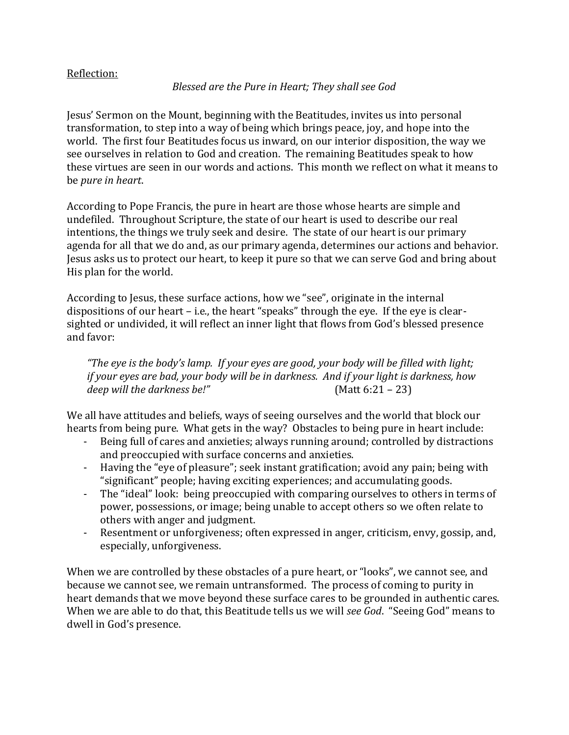### Reflection:

### *Blessed are the Pure in Heart; They shall see God*

Jesus' Sermon on the Mount, beginning with the Beatitudes, invites us into personal transformation, to step into a way of being which brings peace, joy, and hope into the world. The first four Beatitudes focus us inward, on our interior disposition, the way we see ourselves in relation to God and creation. The remaining Beatitudes speak to how these virtues are seen in our words and actions. This month we reflect on what it means to be *pure in heart*.

According to Pope Francis, the pure in heart are those whose hearts are simple and undefiled. Throughout Scripture, the state of our heart is used to describe our real intentions, the things we truly seek and desire. The state of our heart is our primary agenda for all that we do and, as our primary agenda, determines our actions and behavior. Jesus asks us to protect our heart, to keep it pure so that we can serve God and bring about His plan for the world.

According to Jesus, these surface actions, how we "see", originate in the internal dispositions of our heart – i.e., the heart "speaks" through the eye. If the eye is clearsighted or undivided, it will reflect an inner light that flows from God's blessed presence and favor:

*"The eye is the body's lamp. If your eyes are good, your body will be filled with light; if your eyes are bad, your body will be in darkness. And if your light is darkness, how deep will the darkness be!"* (Matt 6:21 – 23)

We all have attitudes and beliefs, ways of seeing ourselves and the world that block our hearts from being pure. What gets in the way? Obstacles to being pure in heart include:

- Being full of cares and anxieties; always running around; controlled by distractions and preoccupied with surface concerns and anxieties.
- Having the "eye of pleasure"; seek instant gratification; avoid any pain; being with "significant" people; having exciting experiences; and accumulating goods.
- The "ideal" look: being preoccupied with comparing ourselves to others in terms of power, possessions, or image; being unable to accept others so we often relate to others with anger and judgment.
- Resentment or unforgiveness; often expressed in anger, criticism, envy, gossip, and, especially, unforgiveness.

When we are controlled by these obstacles of a pure heart, or "looks", we cannot see, and because we cannot see, we remain untransformed. The process of coming to purity in heart demands that we move beyond these surface cares to be grounded in authentic cares. When we are able to do that, this Beatitude tells us we will *see God*. "Seeing God" means to dwell in God's presence.